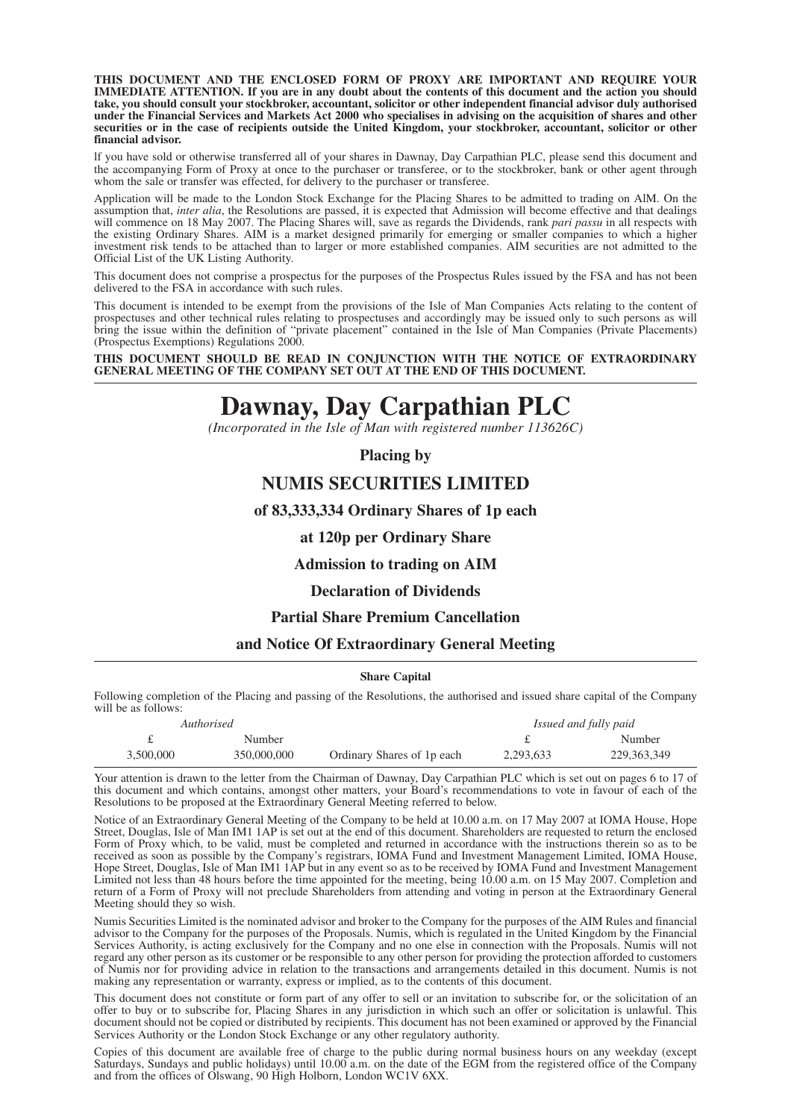**THIS DOCUMENT AND THE ENCLOSED FORM OF PROXY ARE IMPORTANT AND REQUIRE YOUR IMMEDIATE ATTENTION. If you are in any doubt about the contents of this document and the action you should take, you should consult your stockbroker, accountant, solicitor or other independent financial advisor duly authorised under the Financial Services and Markets Act 2000 who specialises in advising on the acquisition of shares and other** securities or in the case of recipients outside the United Kingdom, your stockbroker, accountant, solicitor or other **financial advisor.**

lf you have sold or otherwise transferred all of your shares in Dawnay, Day Carpathian PLC, please send this document and the accompanying Form of Proxy at once to the purchaser or transferee, or to the stockbroker, bank or other agent through whom the sale or transfer was effected, for delivery to the purchaser or transferee.

Application will be made to the London Stock Exchange for the Placing Shares to be admitted to trading on AlM. On the assumption that, *inter alia*, the Resolutions are passed, it is expected that Admission will become effective and that dealings will commence on 18 May 2007. The Placing Shares will, save as regards the Dividends, rank *pari passu* in all respects with the existing Ordinary Shares. AIM is a market designed primarily for emerging or smaller companies to which a higher investment risk tends to be attached than to larger or more established companies. AIM securities are not admitted to the Official List of the UK Listing Authority.

This document does not comprise a prospectus for the purposes of the Prospectus Rules issued by the FSA and has not been delivered to the FSA in accordance with such rules.

This document is intended to be exempt from the provisions of the Isle of Man Companies Acts relating to the content of prospectuses and other technical rules relating to prospectuses and accordingly may be issued only to such persons as will bring the issue within the definition of "private placement" contained in the Isle of Man Companies (Private Placements) (Prospectus Exemptions) Regulations 2000.

#### **THIS DOCUMENT SHOULD BE READ IN CONJUNCTION WITH THE NOTICE OF EXTRAORDINARY GENERAL MEETING OF THE COMPANY SET OUT AT THE END OF THIS DOCUMENT.**

# **Dawnay, Day Carpathian PLC**

*(Incorporated in the Isle of Man with registered number 113626C)*

**Placing by**

## **NUMIS SECURITIES LIMITED**

#### **of 83,333,334 Ordinary Shares of 1p each**

#### **at 120p per Ordinary Share**

#### **Admission to trading on AIM**

#### **Declaration of Dividends**

#### **Partial Share Premium Cancellation**

#### **and Notice Of Extraordinary General Meeting**

#### **Share Capital**

Following completion of the Placing and passing of the Resolutions, the authorised and issued share capital of the Company will be as follows:

| Authorised |             |                            | Issued and fully paid |               |
|------------|-------------|----------------------------|-----------------------|---------------|
|            | Number      |                            |                       | Number        |
| 3.500,000  | 350,000,000 | Ordinary Shares of 1p each | 2,293,633             | 229, 363, 349 |

Your attention is drawn to the letter from the Chairman of Dawnay, Day Carpathian PLC which is set out on pages 6 to 17 of this document and which contains, amongst other matters, your Board's recommendations to vote in favour of each of the Resolutions to be proposed at the Extraordinary General Meeting referred to below.

Notice of an Extraordinary General Meeting of the Company to be held at 10.00 a.m. on 17 May 2007 at IOMA House, Hope Street, Douglas, Isle of Man IM1 1AP is set out at the end of this document. Shareholders are requested to return the enclosed Form of Proxy which, to be valid, must be completed and returned in accordance with the instructions therein so as to be received as soon as possible by the Company's registrars, IOMA Fund and Investment Management Limited, IOMA House, Hope Street, Douglas, Isle of Man IM1 1AP but in any event so as to be received by IOMA Fund and Investment Management Limited not less than 48 hours before the time appointed for the meeting, being 10.00 a.m. on 15 May 2007. Completion and return of a Form of Proxy will not preclude Shareholders from attending and voting in person at the Extraordinary General Meeting should they so wish.

Numis Securities Limited is the nominated advisor and broker to the Company for the purposes of the AIM Rules and financial advisor to the Company for the purposes of the Proposals. Numis, which is regulated in the United Kingdom by the Financial Services Authority, is acting exclusively for the Company and no one else in connection with the Proposals. Numis will not regard any other person as its customer or be responsible to any other person for providing the protection afforded to customers of Numis nor for providing advice in relation to the transactions and arrangements detailed in this document. Numis is not making any representation or warranty, express or implied, as to the contents of this document.

This document does not constitute or form part of any offer to sell or an invitation to subscribe for, or the solicitation of an offer to buy or to subscribe for, Placing Shares in any jurisdiction in which such an offer or solicitation is unlawful. This document should not be copied or distributed by recipients. This document has not been examined or approved by the Financial Services Authority or the London Stock Exchange or any other regulatory authority.

Copies of this document are available free of charge to the public during normal business hours on any weekday (except Saturdays, Sundays and public holidays) until 10.00 a.m. on the date of the EGM from the registered office of the Company and from the offices of Olswang, 90 High Holborn, London WC1V 6XX.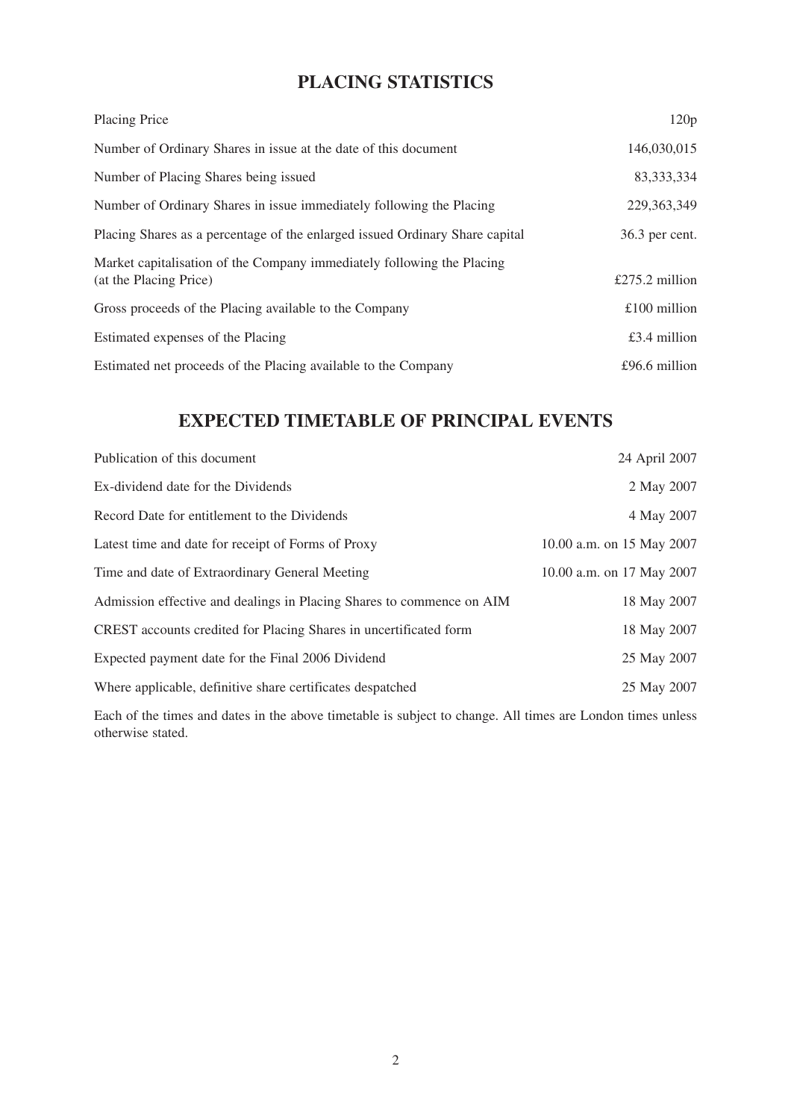# **PLACING STATISTICS**

| Placing Price                                                                                    | 120p           |
|--------------------------------------------------------------------------------------------------|----------------|
| Number of Ordinary Shares in issue at the date of this document                                  | 146,030,015    |
| Number of Placing Shares being issued                                                            | 83, 333, 334   |
| Number of Ordinary Shares in issue immediately following the Placing                             | 229, 363, 349  |
| Placing Shares as a percentage of the enlarged issued Ordinary Share capital                     | 36.3 per cent. |
| Market capitalisation of the Company immediately following the Placing<br>(at the Placing Price) | £275.2 million |
| Gross proceeds of the Placing available to the Company                                           | $£100$ million |
| Estimated expenses of the Placing                                                                | £3.4 million   |
| Estimated net proceeds of the Placing available to the Company                                   | £96.6 million  |

# **EXPECTED TIMETABLE OF PRINCIPAL EVENTS**

| Publication of this document                                          | 24 April 2007             |
|-----------------------------------------------------------------------|---------------------------|
| Ex-dividend date for the Dividends                                    | 2 May 2007                |
| Record Date for entitlement to the Dividends                          | 4 May 2007                |
| Latest time and date for receipt of Forms of Proxy                    | 10.00 a.m. on 15 May 2007 |
| Time and date of Extraordinary General Meeting                        | 10.00 a.m. on 17 May 2007 |
| Admission effective and dealings in Placing Shares to commence on AIM | 18 May 2007               |
| CREST accounts credited for Placing Shares in uncertificated form     | 18 May 2007               |
| Expected payment date for the Final 2006 Dividend                     | 25 May 2007               |
| Where applicable, definitive share certificates despatched            | 25 May 2007               |
|                                                                       |                           |

Each of the times and dates in the above timetable is subject to change. All times are London times unless otherwise stated.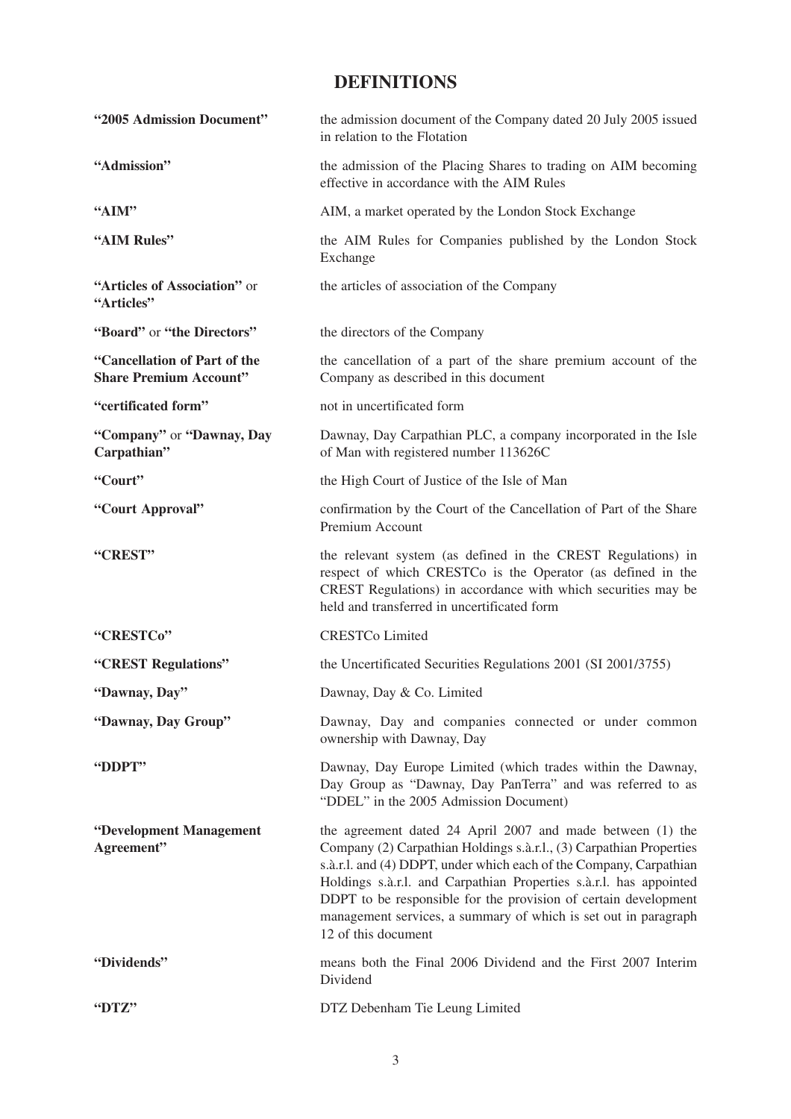# **DEFINITIONS**

| "2005 Admission Document"                                     | the admission document of the Company dated 20 July 2005 issued<br>in relation to the Flotation                                                                                                                                                                                                                                                                                                                                            |  |
|---------------------------------------------------------------|--------------------------------------------------------------------------------------------------------------------------------------------------------------------------------------------------------------------------------------------------------------------------------------------------------------------------------------------------------------------------------------------------------------------------------------------|--|
| "Admission"                                                   | the admission of the Placing Shares to trading on AIM becoming<br>effective in accordance with the AIM Rules                                                                                                                                                                                                                                                                                                                               |  |
| "AIM"                                                         | AIM, a market operated by the London Stock Exchange                                                                                                                                                                                                                                                                                                                                                                                        |  |
| "AIM Rules"                                                   | the AIM Rules for Companies published by the London Stock<br>Exchange                                                                                                                                                                                                                                                                                                                                                                      |  |
| "Articles of Association" or<br>"Articles"                    | the articles of association of the Company                                                                                                                                                                                                                                                                                                                                                                                                 |  |
| "Board" or "the Directors"                                    | the directors of the Company                                                                                                                                                                                                                                                                                                                                                                                                               |  |
| "Cancellation of Part of the<br><b>Share Premium Account"</b> | the cancellation of a part of the share premium account of the<br>Company as described in this document                                                                                                                                                                                                                                                                                                                                    |  |
| "certificated form"                                           | not in uncertificated form                                                                                                                                                                                                                                                                                                                                                                                                                 |  |
| "Company" or "Dawnay, Day<br>Carpathian"                      | Dawnay, Day Carpathian PLC, a company incorporated in the Isle<br>of Man with registered number 113626C                                                                                                                                                                                                                                                                                                                                    |  |
| "Court"                                                       | the High Court of Justice of the Isle of Man                                                                                                                                                                                                                                                                                                                                                                                               |  |
| "Court Approval"                                              | confirmation by the Court of the Cancellation of Part of the Share<br>Premium Account                                                                                                                                                                                                                                                                                                                                                      |  |
| "CREST"                                                       | the relevant system (as defined in the CREST Regulations) in<br>respect of which CRESTCo is the Operator (as defined in the<br>CREST Regulations) in accordance with which securities may be<br>held and transferred in uncertificated form                                                                                                                                                                                                |  |
| "CRESTCo"                                                     | <b>CRESTCo Limited</b>                                                                                                                                                                                                                                                                                                                                                                                                                     |  |
| "CREST Regulations"                                           | the Uncertificated Securities Regulations 2001 (SI 2001/3755)                                                                                                                                                                                                                                                                                                                                                                              |  |
| "Dawnay, Day"                                                 | Dawnay, Day & Co. Limited                                                                                                                                                                                                                                                                                                                                                                                                                  |  |
| "Dawnay, Day Group"                                           | Dawnay, Day and companies connected or under common<br>ownership with Dawnay, Day                                                                                                                                                                                                                                                                                                                                                          |  |
| "DDPT"                                                        | Dawnay, Day Europe Limited (which trades within the Dawnay,<br>Day Group as "Dawnay, Day PanTerra" and was referred to as<br>"DDEL" in the 2005 Admission Document)                                                                                                                                                                                                                                                                        |  |
| "Development Management<br>Agreement"                         | the agreement dated 24 April 2007 and made between (1) the<br>Company (2) Carpathian Holdings s.à.r.l., (3) Carpathian Properties<br>s.à.r.l. and (4) DDPT, under which each of the Company, Carpathian<br>Holdings s.à.r.l. and Carpathian Properties s.à.r.l. has appointed<br>DDPT to be responsible for the provision of certain development<br>management services, a summary of which is set out in paragraph<br>12 of this document |  |
| "Dividends"                                                   | means both the Final 2006 Dividend and the First 2007 Interim<br>Dividend                                                                                                                                                                                                                                                                                                                                                                  |  |
| "DTZ"                                                         | DTZ Debenham Tie Leung Limited                                                                                                                                                                                                                                                                                                                                                                                                             |  |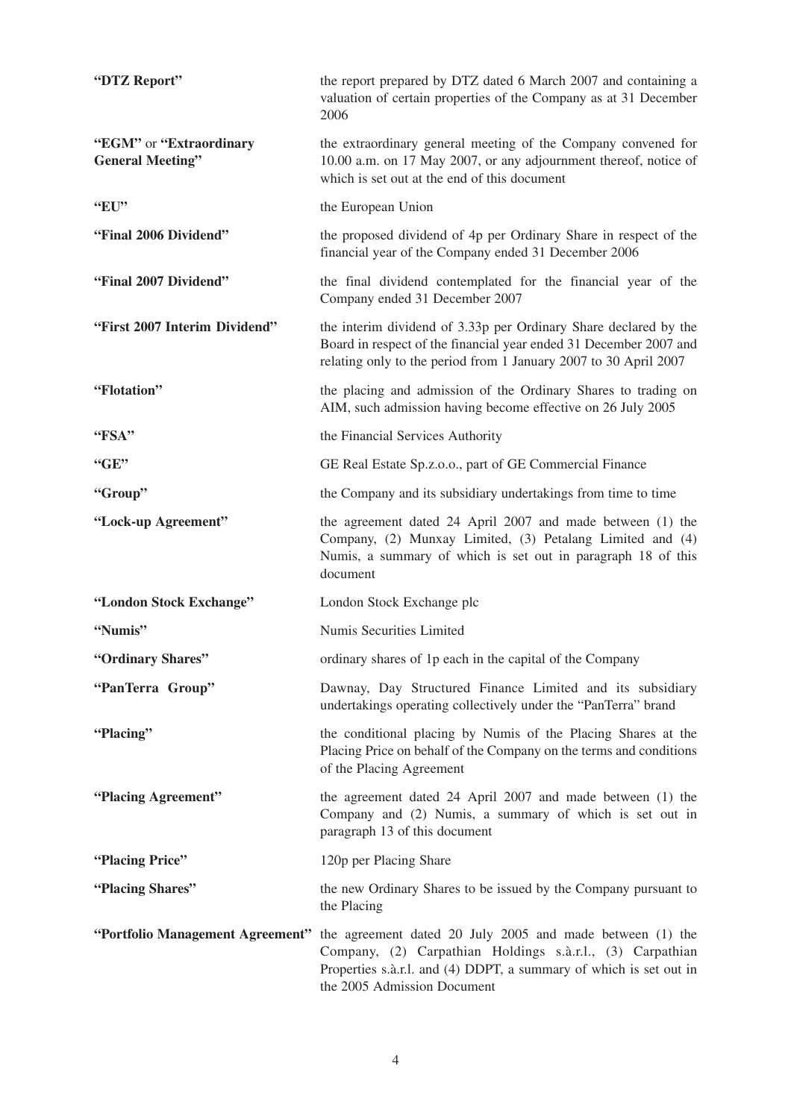| "DTZ Report"                                       | the report prepared by DTZ dated 6 March 2007 and containing a<br>valuation of certain properties of the Company as at 31 December<br>2006                                                                                                                   |
|----------------------------------------------------|--------------------------------------------------------------------------------------------------------------------------------------------------------------------------------------------------------------------------------------------------------------|
| "EGM" or "Extraordinary<br><b>General Meeting"</b> | the extraordinary general meeting of the Company convened for<br>10.00 a.m. on 17 May 2007, or any adjournment thereof, notice of<br>which is set out at the end of this document                                                                            |
| "EU"                                               | the European Union                                                                                                                                                                                                                                           |
| "Final 2006 Dividend"                              | the proposed dividend of 4p per Ordinary Share in respect of the<br>financial year of the Company ended 31 December 2006                                                                                                                                     |
| "Final 2007 Dividend"                              | the final dividend contemplated for the financial year of the<br>Company ended 31 December 2007                                                                                                                                                              |
| "First 2007 Interim Dividend"                      | the interim dividend of 3.33p per Ordinary Share declared by the<br>Board in respect of the financial year ended 31 December 2007 and<br>relating only to the period from 1 January 2007 to 30 April 2007                                                    |
| "Flotation"                                        | the placing and admission of the Ordinary Shares to trading on<br>AIM, such admission having become effective on 26 July 2005                                                                                                                                |
| "FSA"                                              | the Financial Services Authority                                                                                                                                                                                                                             |
| "GE"                                               | GE Real Estate Sp.z.o.o., part of GE Commercial Finance                                                                                                                                                                                                      |
| "Group"                                            | the Company and its subsidiary undertakings from time to time                                                                                                                                                                                                |
| "Lock-up Agreement"                                | the agreement dated 24 April 2007 and made between (1) the<br>Company, (2) Munxay Limited, (3) Petalang Limited and (4)<br>Numis, a summary of which is set out in paragraph 18 of this<br>document                                                          |
| "London Stock Exchange"                            | London Stock Exchange plc                                                                                                                                                                                                                                    |
| "Numis"                                            | Numis Securities Limited                                                                                                                                                                                                                                     |
| "Ordinary Shares"                                  | ordinary shares of 1p each in the capital of the Company                                                                                                                                                                                                     |
| "PanTerra Group"                                   | Dawnay, Day Structured Finance Limited and its subsidiary<br>undertakings operating collectively under the "PanTerra" brand                                                                                                                                  |
| "Placing"                                          | the conditional placing by Numis of the Placing Shares at the<br>Placing Price on behalf of the Company on the terms and conditions<br>of the Placing Agreement                                                                                              |
| "Placing Agreement"                                | the agreement dated 24 April 2007 and made between (1) the<br>Company and (2) Numis, a summary of which is set out in<br>paragraph 13 of this document                                                                                                       |
| "Placing Price"                                    | 120p per Placing Share                                                                                                                                                                                                                                       |
| "Placing Shares"                                   | the new Ordinary Shares to be issued by the Company pursuant to<br>the Placing                                                                                                                                                                               |
|                                                    | "Portfolio Management Agreement" the agreement dated 20 July 2005 and made between (1) the<br>Company, (2) Carpathian Holdings s.à.r.l., (3) Carpathian<br>Properties s.à.r.l. and (4) DDPT, a summary of which is set out in<br>the 2005 Admission Document |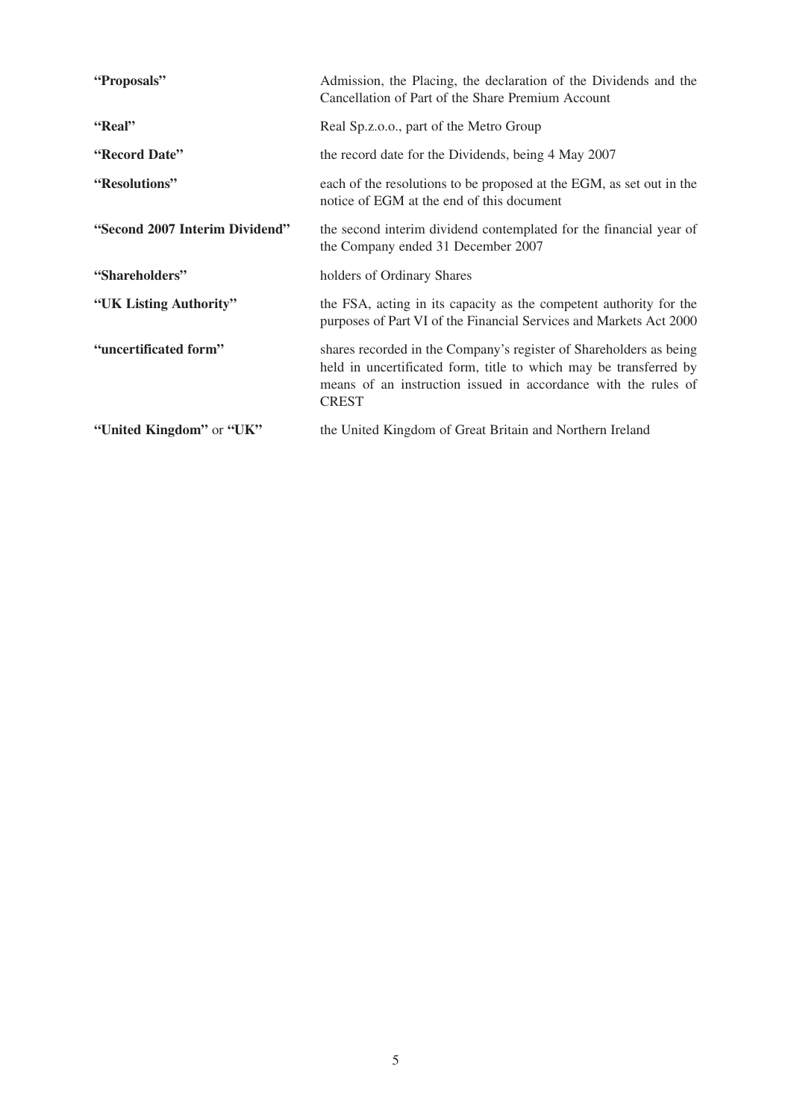| "Proposals"                    | Admission, the Placing, the declaration of the Dividends and the<br>Cancellation of Part of the Share Premium Account                                                                                                     |
|--------------------------------|---------------------------------------------------------------------------------------------------------------------------------------------------------------------------------------------------------------------------|
| "Real"                         | Real Sp.z.o.o., part of the Metro Group                                                                                                                                                                                   |
| "Record Date"                  | the record date for the Dividends, being 4 May 2007                                                                                                                                                                       |
| "Resolutions"                  | each of the resolutions to be proposed at the EGM, as set out in the<br>notice of EGM at the end of this document                                                                                                         |
| "Second 2007 Interim Dividend" | the second interim dividend contemplated for the financial year of<br>the Company ended 31 December 2007                                                                                                                  |
| "Shareholders"                 | holders of Ordinary Shares                                                                                                                                                                                                |
| "UK Listing Authority"         | the FSA, acting in its capacity as the competent authority for the<br>purposes of Part VI of the Financial Services and Markets Act 2000                                                                                  |
| "uncertificated form"          | shares recorded in the Company's register of Shareholders as being<br>held in uncertificated form, title to which may be transferred by<br>means of an instruction issued in accordance with the rules of<br><b>CREST</b> |
| "United Kingdom" or "UK"       | the United Kingdom of Great Britain and Northern Ireland                                                                                                                                                                  |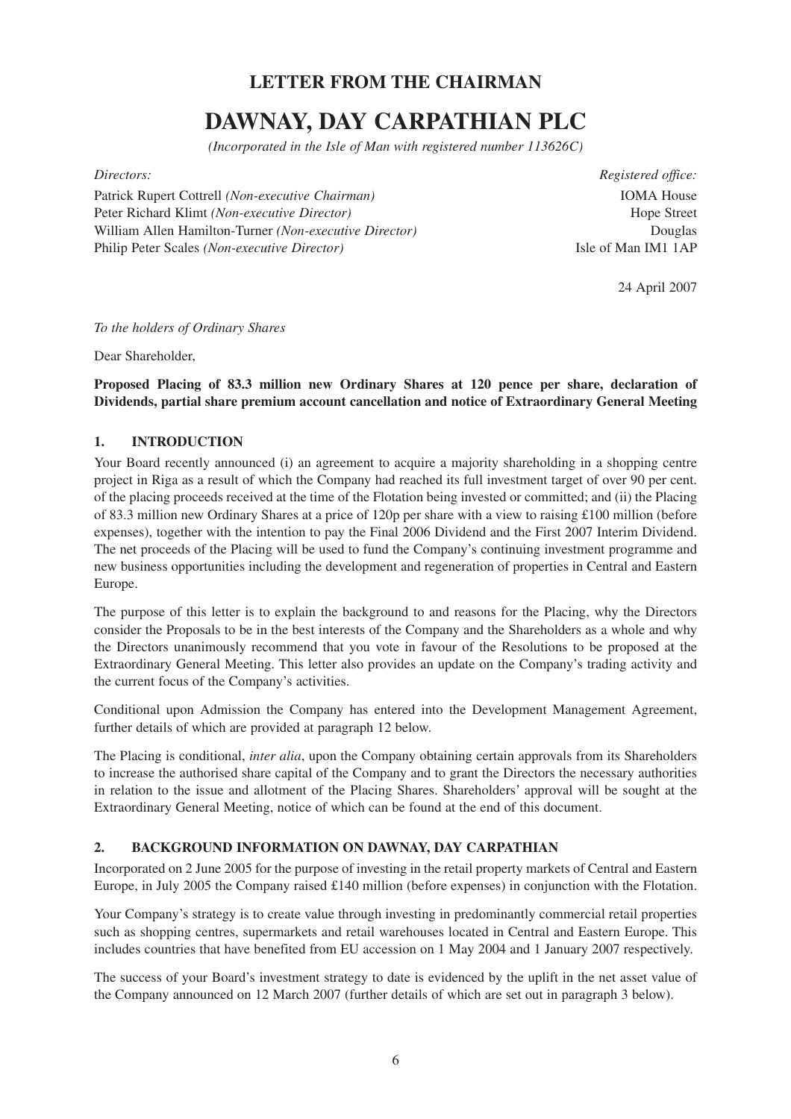## **LETTER FROM THE CHAIRMAN**

# **DAWNAY, DAY CARPATHIAN PLC**

*(Incorporated in the Isle of Man with registered number 113626C)*

Patrick Rupert Cottrell *(Non-executive Chairman)* IOMA House Peter Richard Klimt *(Non-executive Director)* Hope Street William Allen Hamilton-Turner *(Non-executive Director)* Douglas Philip Peter Scales *(Non-executive Director)* Isle of Man IM1 1AP

*Directors: Registered office:*

24 April 2007

*To the holders of Ordinary Shares*

Dear Shareholder,

## **Proposed Placing of 83.3 million new Ordinary Shares at 120 pence per share, declaration of Dividends, partial share premium account cancellation and notice of Extraordinary General Meeting**

## **1. INTRODUCTION**

Your Board recently announced (i) an agreement to acquire a majority shareholding in a shopping centre project in Riga as a result of which the Company had reached its full investment target of over 90 per cent. of the placing proceeds received at the time of the Flotation being invested or committed; and (ii) the Placing of 83.3 million new Ordinary Shares at a price of 120p per share with a view to raising £100 million (before expenses), together with the intention to pay the Final 2006 Dividend and the First 2007 Interim Dividend. The net proceeds of the Placing will be used to fund the Company's continuing investment programme and new business opportunities including the development and regeneration of properties in Central and Eastern Europe.

The purpose of this letter is to explain the background to and reasons for the Placing, why the Directors consider the Proposals to be in the best interests of the Company and the Shareholders as a whole and why the Directors unanimously recommend that you vote in favour of the Resolutions to be proposed at the Extraordinary General Meeting. This letter also provides an update on the Company's trading activity and the current focus of the Company's activities.

Conditional upon Admission the Company has entered into the Development Management Agreement, further details of which are provided at paragraph 12 below.

The Placing is conditional, *inter alia*, upon the Company obtaining certain approvals from its Shareholders to increase the authorised share capital of the Company and to grant the Directors the necessary authorities in relation to the issue and allotment of the Placing Shares. Shareholders' approval will be sought at the Extraordinary General Meeting, notice of which can be found at the end of this document.

#### **2. BACKGROUND INFORMATION ON DAWNAY, DAY CARPATHIAN**

Incorporated on 2 June 2005 for the purpose of investing in the retail property markets of Central and Eastern Europe, in July 2005 the Company raised £140 million (before expenses) in conjunction with the Flotation.

Your Company's strategy is to create value through investing in predominantly commercial retail properties such as shopping centres, supermarkets and retail warehouses located in Central and Eastern Europe. This includes countries that have benefited from EU accession on 1 May 2004 and 1 January 2007 respectively.

The success of your Board's investment strategy to date is evidenced by the uplift in the net asset value of the Company announced on 12 March 2007 (further details of which are set out in paragraph 3 below).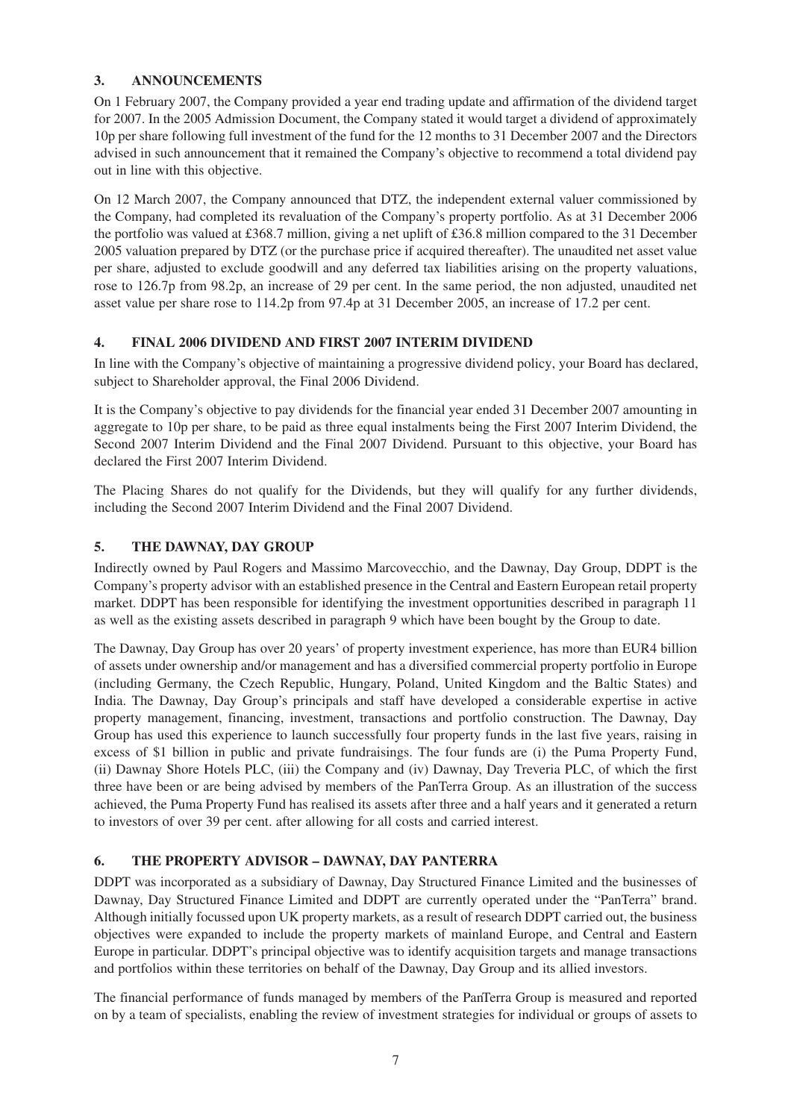## **3. ANNOUNCEMENTS**

On 1 February 2007, the Company provided a year end trading update and affirmation of the dividend target for 2007. In the 2005 Admission Document, the Company stated it would target a dividend of approximately 10p per share following full investment of the fund for the 12 months to 31 December 2007 and the Directors advised in such announcement that it remained the Company's objective to recommend a total dividend pay out in line with this objective.

On 12 March 2007, the Company announced that DTZ, the independent external valuer commissioned by the Company, had completed its revaluation of the Company's property portfolio. As at 31 December 2006 the portfolio was valued at £368.7 million, giving a net uplift of £36.8 million compared to the 31 December 2005 valuation prepared by DTZ (or the purchase price if acquired thereafter). The unaudited net asset value per share, adjusted to exclude goodwill and any deferred tax liabilities arising on the property valuations, rose to 126.7p from 98.2p, an increase of 29 per cent. In the same period, the non adjusted, unaudited net asset value per share rose to 114.2p from 97.4p at 31 December 2005, an increase of 17.2 per cent.

## **4. FINAL 2006 DIVIDEND AND FIRST 2007 INTERIM DIVIDEND**

In line with the Company's objective of maintaining a progressive dividend policy, your Board has declared, subject to Shareholder approval, the Final 2006 Dividend.

It is the Company's objective to pay dividends for the financial year ended 31 December 2007 amounting in aggregate to 10p per share, to be paid as three equal instalments being the First 2007 Interim Dividend, the Second 2007 Interim Dividend and the Final 2007 Dividend. Pursuant to this objective, your Board has declared the First 2007 Interim Dividend.

The Placing Shares do not qualify for the Dividends, but they will qualify for any further dividends, including the Second 2007 Interim Dividend and the Final 2007 Dividend.

## **5. THE DAWNAY, DAY GROUP**

Indirectly owned by Paul Rogers and Massimo Marcovecchio, and the Dawnay, Day Group, DDPT is the Company's property advisor with an established presence in the Central and Eastern European retail property market. DDPT has been responsible for identifying the investment opportunities described in paragraph 11 as well as the existing assets described in paragraph 9 which have been bought by the Group to date.

The Dawnay, Day Group has over 20 years' of property investment experience, has more than EUR4 billion of assets under ownership and/or management and has a diversified commercial property portfolio in Europe (including Germany, the Czech Republic, Hungary, Poland, United Kingdom and the Baltic States) and India. The Dawnay, Day Group's principals and staff have developed a considerable expertise in active property management, financing, investment, transactions and portfolio construction. The Dawnay, Day Group has used this experience to launch successfully four property funds in the last five years, raising in excess of \$1 billion in public and private fundraisings. The four funds are (i) the Puma Property Fund, (ii) Dawnay Shore Hotels PLC, (iii) the Company and (iv) Dawnay, Day Treveria PLC, of which the first three have been or are being advised by members of the PanTerra Group. As an illustration of the success achieved, the Puma Property Fund has realised its assets after three and a half years and it generated a return to investors of over 39 per cent. after allowing for all costs and carried interest.

## **6. THE PROPERTY ADVISOR – DAWNAY, DAY PANTERRA**

DDPT was incorporated as a subsidiary of Dawnay, Day Structured Finance Limited and the businesses of Dawnay, Day Structured Finance Limited and DDPT are currently operated under the "PanTerra" brand. Although initially focussed upon UK property markets, as a result of research DDPT carried out, the business objectives were expanded to include the property markets of mainland Europe, and Central and Eastern Europe in particular. DDPT's principal objective was to identify acquisition targets and manage transactions and portfolios within these territories on behalf of the Dawnay, Day Group and its allied investors.

The financial performance of funds managed by members of the PanTerra Group is measured and reported on by a team of specialists, enabling the review of investment strategies for individual or groups of assets to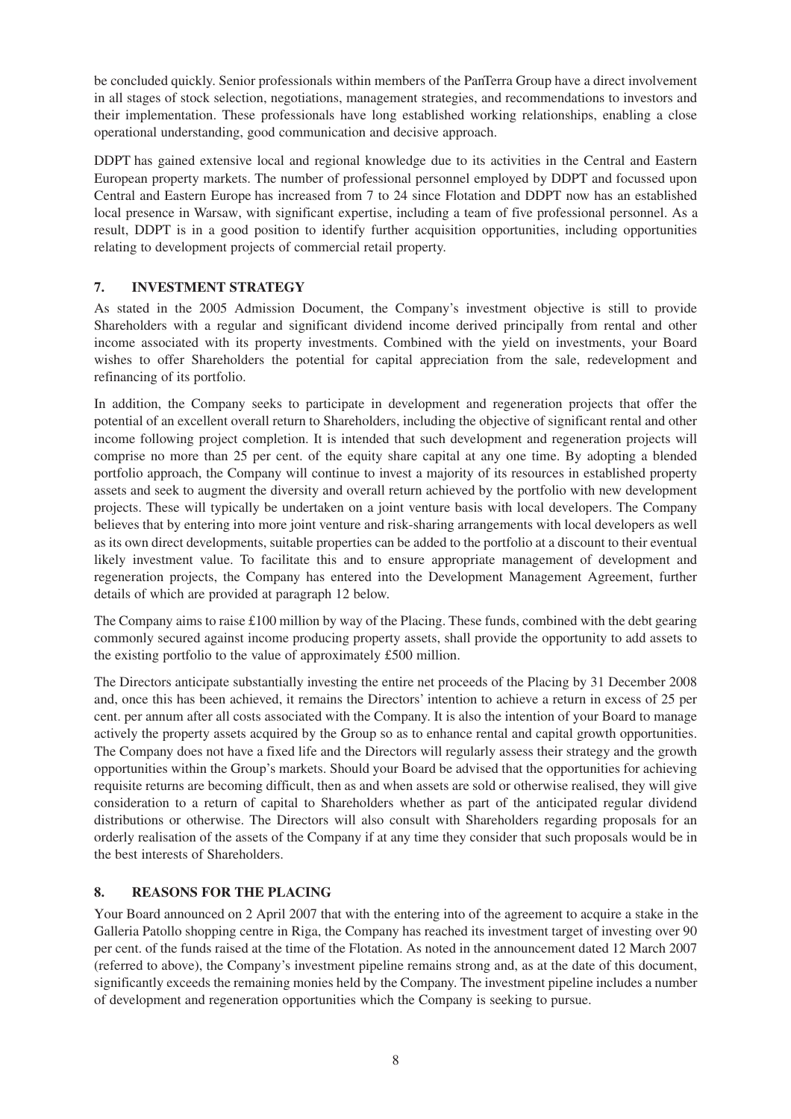be concluded quickly. Senior professionals within members of the PanTerra Group have a direct involvement in all stages of stock selection, negotiations, management strategies, and recommendations to investors and their implementation. These professionals have long established working relationships, enabling a close operational understanding, good communication and decisive approach.

DDPT has gained extensive local and regional knowledge due to its activities in the Central and Eastern European property markets. The number of professional personnel employed by DDPT and focussed upon Central and Eastern Europe has increased from 7 to 24 since Flotation and DDPT now has an established local presence in Warsaw, with significant expertise, including a team of five professional personnel. As a result, DDPT is in a good position to identify further acquisition opportunities, including opportunities relating to development projects of commercial retail property.

## **7. INVESTMENT STRATEGY**

As stated in the 2005 Admission Document, the Company's investment objective is still to provide Shareholders with a regular and significant dividend income derived principally from rental and other income associated with its property investments. Combined with the yield on investments, your Board wishes to offer Shareholders the potential for capital appreciation from the sale, redevelopment and refinancing of its portfolio.

In addition, the Company seeks to participate in development and regeneration projects that offer the potential of an excellent overall return to Shareholders, including the objective of significant rental and other income following project completion. It is intended that such development and regeneration projects will comprise no more than 25 per cent. of the equity share capital at any one time. By adopting a blended portfolio approach, the Company will continue to invest a majority of its resources in established property assets and seek to augment the diversity and overall return achieved by the portfolio with new development projects. These will typically be undertaken on a joint venture basis with local developers. The Company believes that by entering into more joint venture and risk-sharing arrangements with local developers as well as its own direct developments, suitable properties can be added to the portfolio at a discount to their eventual likely investment value. To facilitate this and to ensure appropriate management of development and regeneration projects, the Company has entered into the Development Management Agreement, further details of which are provided at paragraph 12 below.

The Company aims to raise  $\pounds$ 100 million by way of the Placing. These funds, combined with the debt gearing commonly secured against income producing property assets, shall provide the opportunity to add assets to the existing portfolio to the value of approximately £500 million.

The Directors anticipate substantially investing the entire net proceeds of the Placing by 31 December 2008 and, once this has been achieved, it remains the Directors' intention to achieve a return in excess of 25 per cent. per annum after all costs associated with the Company. It is also the intention of your Board to manage actively the property assets acquired by the Group so as to enhance rental and capital growth opportunities. The Company does not have a fixed life and the Directors will regularly assess their strategy and the growth opportunities within the Group's markets. Should your Board be advised that the opportunities for achieving requisite returns are becoming difficult, then as and when assets are sold or otherwise realised, they will give consideration to a return of capital to Shareholders whether as part of the anticipated regular dividend distributions or otherwise. The Directors will also consult with Shareholders regarding proposals for an orderly realisation of the assets of the Company if at any time they consider that such proposals would be in the best interests of Shareholders.

### **8. REASONS FOR THE PLACING**

Your Board announced on 2 April 2007 that with the entering into of the agreement to acquire a stake in the Galleria Patollo shopping centre in Riga, the Company has reached its investment target of investing over 90 per cent. of the funds raised at the time of the Flotation. As noted in the announcement dated 12 March 2007 (referred to above), the Company's investment pipeline remains strong and, as at the date of this document, significantly exceeds the remaining monies held by the Company. The investment pipeline includes a number of development and regeneration opportunities which the Company is seeking to pursue.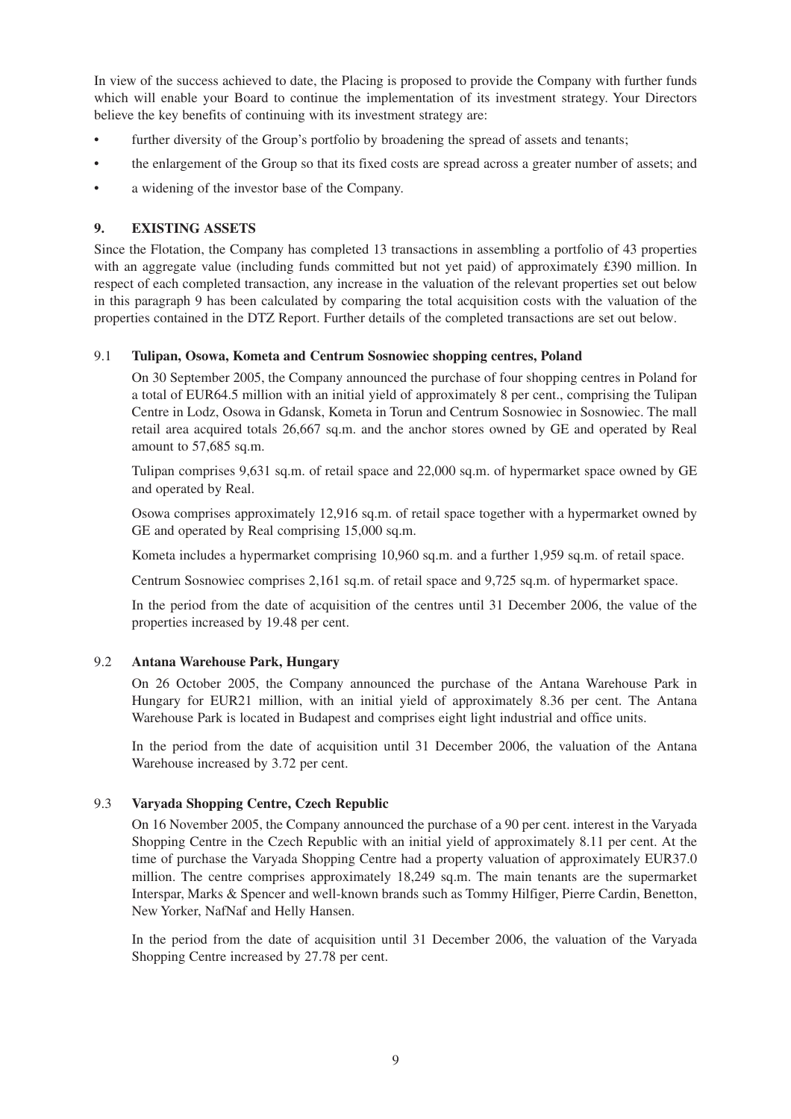In view of the success achieved to date, the Placing is proposed to provide the Company with further funds which will enable your Board to continue the implementation of its investment strategy. Your Directors believe the key benefits of continuing with its investment strategy are:

- further diversity of the Group's portfolio by broadening the spread of assets and tenants;
- the enlargement of the Group so that its fixed costs are spread across a greater number of assets; and
- a widening of the investor base of the Company.

#### **9. EXISTING ASSETS**

Since the Flotation, the Company has completed 13 transactions in assembling a portfolio of 43 properties with an aggregate value (including funds committed but not yet paid) of approximately £390 million. In respect of each completed transaction, any increase in the valuation of the relevant properties set out below in this paragraph 9 has been calculated by comparing the total acquisition costs with the valuation of the properties contained in the DTZ Report. Further details of the completed transactions are set out below.

#### 9.1 **Tulipan, Osowa, Kometa and Centrum Sosnowiec shopping centres, Poland**

On 30 September 2005, the Company announced the purchase of four shopping centres in Poland for a total of EUR64.5 million with an initial yield of approximately 8 per cent., comprising the Tulipan Centre in Lodz, Osowa in Gdansk, Kometa in Torun and Centrum Sosnowiec in Sosnowiec. The mall retail area acquired totals 26,667 sq.m. and the anchor stores owned by GE and operated by Real amount to 57,685 sq.m.

Tulipan comprises 9,631 sq.m. of retail space and 22,000 sq.m. of hypermarket space owned by GE and operated by Real.

Osowa comprises approximately 12,916 sq.m. of retail space together with a hypermarket owned by GE and operated by Real comprising 15,000 sq.m.

Kometa includes a hypermarket comprising 10,960 sq.m. and a further 1,959 sq.m. of retail space.

Centrum Sosnowiec comprises 2,161 sq.m. of retail space and 9,725 sq.m. of hypermarket space.

In the period from the date of acquisition of the centres until 31 December 2006, the value of the properties increased by 19.48 per cent.

#### 9.2 **Antana Warehouse Park, Hungary**

On 26 October 2005, the Company announced the purchase of the Antana Warehouse Park in Hungary for EUR21 million, with an initial yield of approximately 8.36 per cent. The Antana Warehouse Park is located in Budapest and comprises eight light industrial and office units.

In the period from the date of acquisition until 31 December 2006, the valuation of the Antana Warehouse increased by 3.72 per cent.

#### 9.3 **Varyada Shopping Centre, Czech Republic**

On 16 November 2005, the Company announced the purchase of a 90 per cent. interest in the Varyada Shopping Centre in the Czech Republic with an initial yield of approximately 8.11 per cent. At the time of purchase the Varyada Shopping Centre had a property valuation of approximately EUR37.0 million. The centre comprises approximately 18,249 sq.m. The main tenants are the supermarket Interspar, Marks & Spencer and well-known brands such as Tommy Hilfiger, Pierre Cardin, Benetton, New Yorker, NafNaf and Helly Hansen.

In the period from the date of acquisition until 31 December 2006, the valuation of the Varyada Shopping Centre increased by 27.78 per cent.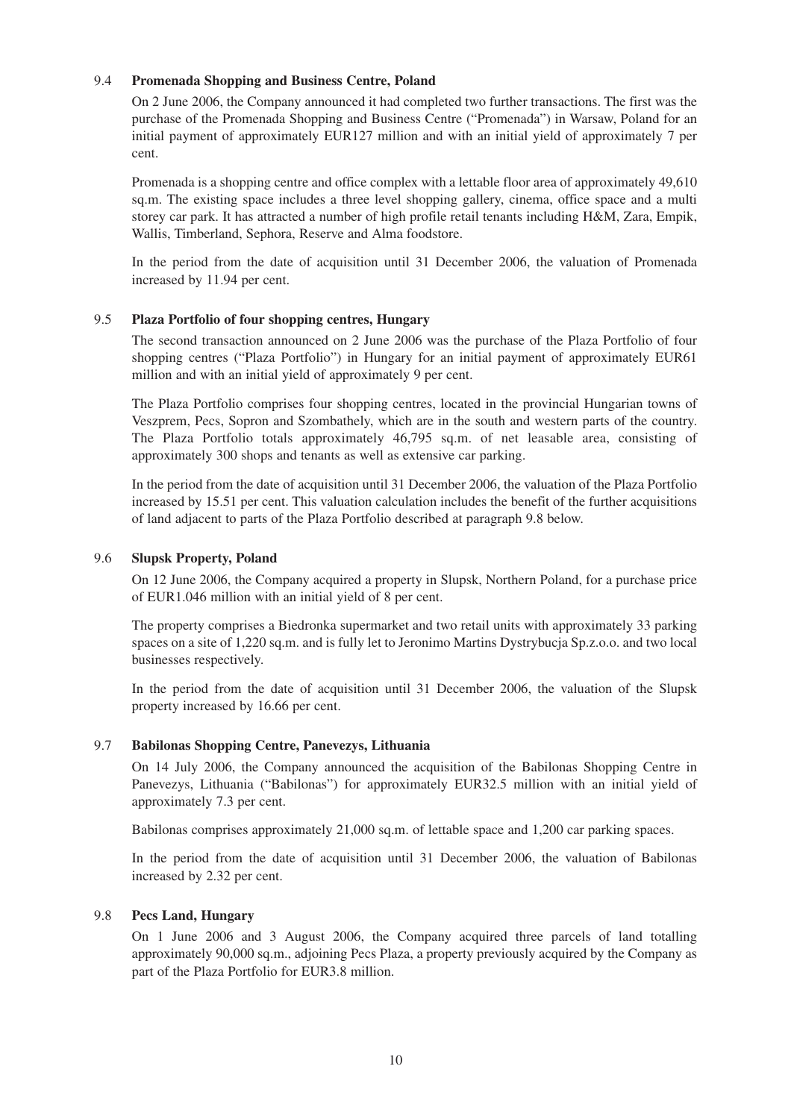#### 9.4 **Promenada Shopping and Business Centre, Poland**

On 2 June 2006, the Company announced it had completed two further transactions. The first was the purchase of the Promenada Shopping and Business Centre ("Promenada") in Warsaw, Poland for an initial payment of approximately EUR127 million and with an initial yield of approximately 7 per cent.

Promenada is a shopping centre and office complex with a lettable floor area of approximately 49,610 sq.m. The existing space includes a three level shopping gallery, cinema, office space and a multi storey car park. It has attracted a number of high profile retail tenants including H&M, Zara, Empik, Wallis, Timberland, Sephora, Reserve and Alma foodstore.

In the period from the date of acquisition until 31 December 2006, the valuation of Promenada increased by 11.94 per cent.

#### 9.5 **Plaza Portfolio of four shopping centres, Hungary**

The second transaction announced on 2 June 2006 was the purchase of the Plaza Portfolio of four shopping centres ("Plaza Portfolio") in Hungary for an initial payment of approximately EUR61 million and with an initial yield of approximately 9 per cent.

The Plaza Portfolio comprises four shopping centres, located in the provincial Hungarian towns of Veszprem, Pecs, Sopron and Szombathely, which are in the south and western parts of the country. The Plaza Portfolio totals approximately 46,795 sq.m. of net leasable area, consisting of approximately 300 shops and tenants as well as extensive car parking.

In the period from the date of acquisition until 31 December 2006, the valuation of the Plaza Portfolio increased by 15.51 per cent. This valuation calculation includes the benefit of the further acquisitions of land adjacent to parts of the Plaza Portfolio described at paragraph 9.8 below.

#### 9.6 **Slupsk Property, Poland**

On 12 June 2006, the Company acquired a property in Slupsk, Northern Poland, for a purchase price of EUR1.046 million with an initial yield of 8 per cent.

The property comprises a Biedronka supermarket and two retail units with approximately 33 parking spaces on a site of 1,220 sq.m. and is fully let to Jeronimo Martins Dystrybucja Sp.z.o.o. and two local businesses respectively.

In the period from the date of acquisition until 31 December 2006, the valuation of the Slupsk property increased by 16.66 per cent.

#### 9.7 **Babilonas Shopping Centre, Panevezys, Lithuania**

On 14 July 2006, the Company announced the acquisition of the Babilonas Shopping Centre in Panevezys, Lithuania ("Babilonas") for approximately EUR32.5 million with an initial yield of approximately 7.3 per cent.

Babilonas comprises approximately 21,000 sq.m. of lettable space and 1,200 car parking spaces.

In the period from the date of acquisition until 31 December 2006, the valuation of Babilonas increased by 2.32 per cent.

#### 9.8 **Pecs Land, Hungary**

On 1 June 2006 and 3 August 2006, the Company acquired three parcels of land totalling approximately 90,000 sq.m., adjoining Pecs Plaza, a property previously acquired by the Company as part of the Plaza Portfolio for EUR3.8 million.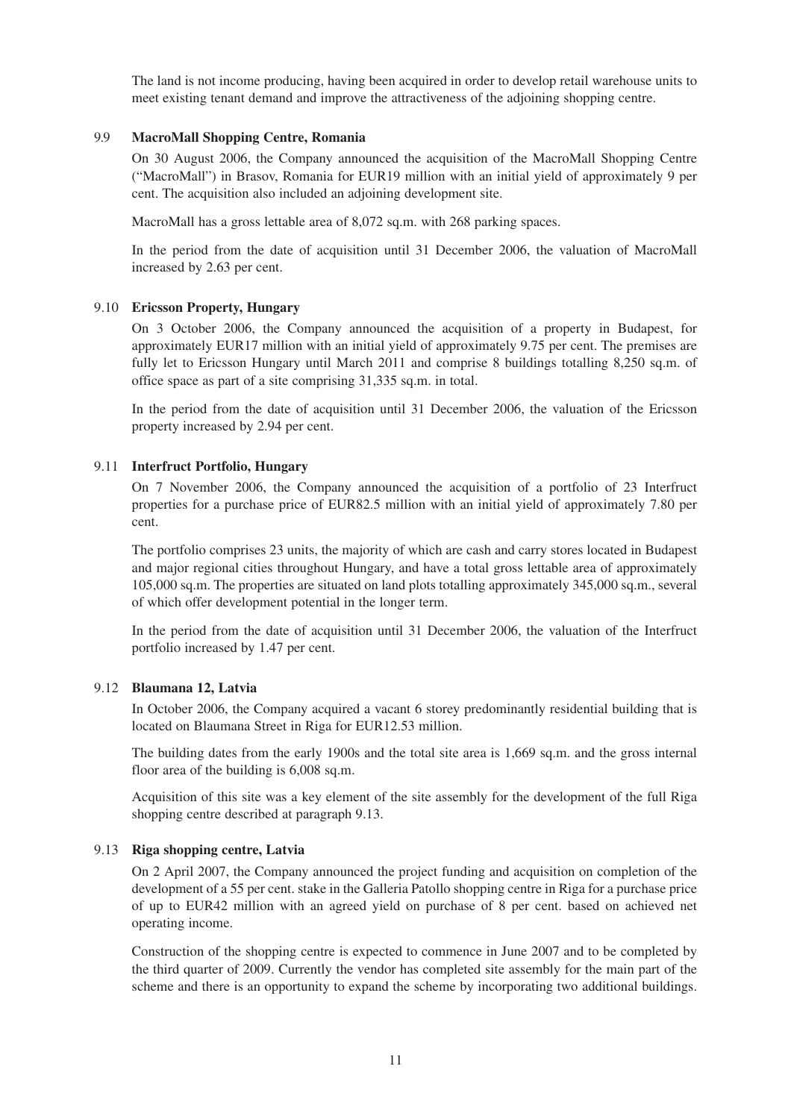The land is not income producing, having been acquired in order to develop retail warehouse units to meet existing tenant demand and improve the attractiveness of the adjoining shopping centre.

#### 9.9 **MacroMall Shopping Centre, Romania**

On 30 August 2006, the Company announced the acquisition of the MacroMall Shopping Centre ("MacroMall") in Brasov, Romania for EUR19 million with an initial yield of approximately 9 per cent. The acquisition also included an adjoining development site.

MacroMall has a gross lettable area of 8,072 sq.m. with 268 parking spaces.

In the period from the date of acquisition until 31 December 2006, the valuation of MacroMall increased by 2.63 per cent.

#### 9.10 **Ericsson Property, Hungary**

On 3 October 2006, the Company announced the acquisition of a property in Budapest, for approximately EUR17 million with an initial yield of approximately 9.75 per cent. The premises are fully let to Ericsson Hungary until March 2011 and comprise 8 buildings totalling 8,250 sq.m. of office space as part of a site comprising 31,335 sq.m. in total.

In the period from the date of acquisition until 31 December 2006, the valuation of the Ericsson property increased by 2.94 per cent.

#### 9.11 **Interfruct Portfolio, Hungary**

On 7 November 2006, the Company announced the acquisition of a portfolio of 23 Interfruct properties for a purchase price of EUR82.5 million with an initial yield of approximately 7.80 per cent.

The portfolio comprises 23 units, the majority of which are cash and carry stores located in Budapest and major regional cities throughout Hungary, and have a total gross lettable area of approximately 105,000 sq.m. The properties are situated on land plots totalling approximately 345,000 sq.m., several of which offer development potential in the longer term.

In the period from the date of acquisition until 31 December 2006, the valuation of the Interfruct portfolio increased by 1.47 per cent.

#### 9.12 **Blaumana 12, Latvia**

In October 2006, the Company acquired a vacant 6 storey predominantly residential building that is located on Blaumana Street in Riga for EUR12.53 million.

The building dates from the early 1900s and the total site area is 1,669 sq.m. and the gross internal floor area of the building is 6,008 sq.m.

Acquisition of this site was a key element of the site assembly for the development of the full Riga shopping centre described at paragraph 9.13.

#### 9.13 **Riga shopping centre, Latvia**

On 2 April 2007, the Company announced the project funding and acquisition on completion of the development of a 55 per cent. stake in the Galleria Patollo shopping centre in Riga for a purchase price of up to EUR42 million with an agreed yield on purchase of 8 per cent. based on achieved net operating income.

Construction of the shopping centre is expected to commence in June 2007 and to be completed by the third quarter of 2009. Currently the vendor has completed site assembly for the main part of the scheme and there is an opportunity to expand the scheme by incorporating two additional buildings.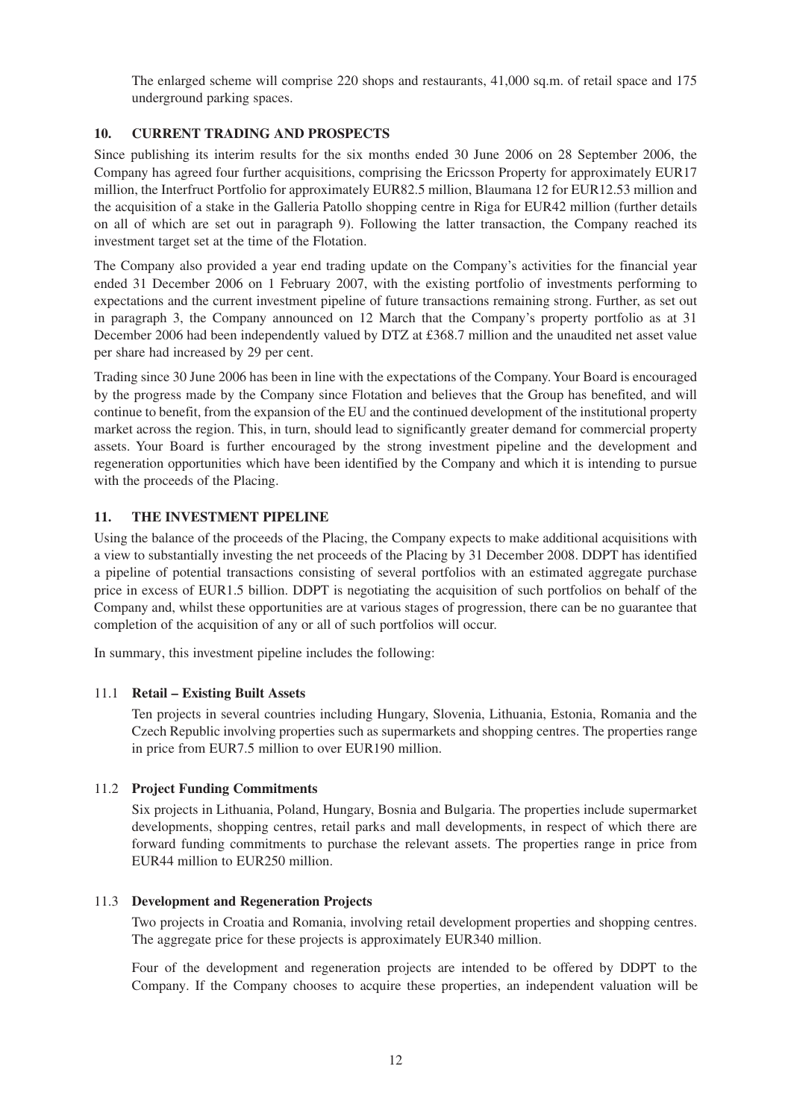The enlarged scheme will comprise 220 shops and restaurants, 41,000 sq.m. of retail space and 175 underground parking spaces.

## **10. CURRENT TRADING AND PROSPECTS**

Since publishing its interim results for the six months ended 30 June 2006 on 28 September 2006, the Company has agreed four further acquisitions, comprising the Ericsson Property for approximately EUR17 million, the Interfruct Portfolio for approximately EUR82.5 million, Blaumana 12 for EUR12.53 million and the acquisition of a stake in the Galleria Patollo shopping centre in Riga for EUR42 million (further details on all of which are set out in paragraph 9). Following the latter transaction, the Company reached its investment target set at the time of the Flotation.

The Company also provided a year end trading update on the Company's activities for the financial year ended 31 December 2006 on 1 February 2007, with the existing portfolio of investments performing to expectations and the current investment pipeline of future transactions remaining strong. Further, as set out in paragraph 3, the Company announced on 12 March that the Company's property portfolio as at 31 December 2006 had been independently valued by DTZ at £368.7 million and the unaudited net asset value per share had increased by 29 per cent.

Trading since 30 June 2006 has been in line with the expectations of the Company. Your Board is encouraged by the progress made by the Company since Flotation and believes that the Group has benefited, and will continue to benefit, from the expansion of the EU and the continued development of the institutional property market across the region. This, in turn, should lead to significantly greater demand for commercial property assets. Your Board is further encouraged by the strong investment pipeline and the development and regeneration opportunities which have been identified by the Company and which it is intending to pursue with the proceeds of the Placing.

## **11. THE INVESTMENT PIPELINE**

Using the balance of the proceeds of the Placing, the Company expects to make additional acquisitions with a view to substantially investing the net proceeds of the Placing by 31 December 2008. DDPT has identified a pipeline of potential transactions consisting of several portfolios with an estimated aggregate purchase price in excess of EUR1.5 billion. DDPT is negotiating the acquisition of such portfolios on behalf of the Company and, whilst these opportunities are at various stages of progression, there can be no guarantee that completion of the acquisition of any or all of such portfolios will occur.

In summary, this investment pipeline includes the following:

#### 11.1 **Retail – Existing Built Assets**

Ten projects in several countries including Hungary, Slovenia, Lithuania, Estonia, Romania and the Czech Republic involving properties such as supermarkets and shopping centres. The properties range in price from EUR7.5 million to over EUR190 million.

#### 11.2 **Project Funding Commitments**

Six projects in Lithuania, Poland, Hungary, Bosnia and Bulgaria. The properties include supermarket developments, shopping centres, retail parks and mall developments, in respect of which there are forward funding commitments to purchase the relevant assets. The properties range in price from EUR44 million to EUR250 million.

#### 11.3 **Development and Regeneration Projects**

Two projects in Croatia and Romania, involving retail development properties and shopping centres. The aggregate price for these projects is approximately EUR340 million.

Four of the development and regeneration projects are intended to be offered by DDPT to the Company. If the Company chooses to acquire these properties, an independent valuation will be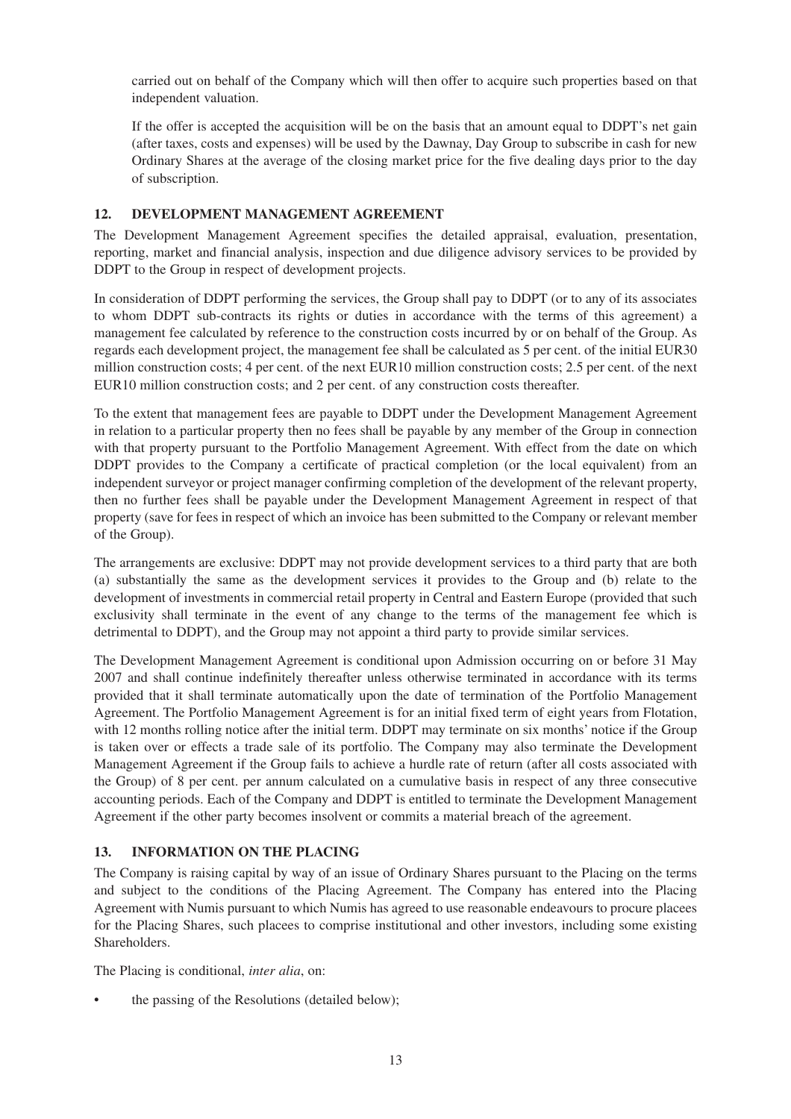carried out on behalf of the Company which will then offer to acquire such properties based on that independent valuation.

If the offer is accepted the acquisition will be on the basis that an amount equal to DDPT's net gain (after taxes, costs and expenses) will be used by the Dawnay, Day Group to subscribe in cash for new Ordinary Shares at the average of the closing market price for the five dealing days prior to the day of subscription.

### **12. DEVELOPMENT MANAGEMENT AGREEMENT**

The Development Management Agreement specifies the detailed appraisal, evaluation, presentation, reporting, market and financial analysis, inspection and due diligence advisory services to be provided by DDPT to the Group in respect of development projects.

In consideration of DDPT performing the services, the Group shall pay to DDPT (or to any of its associates to whom DDPT sub-contracts its rights or duties in accordance with the terms of this agreement) a management fee calculated by reference to the construction costs incurred by or on behalf of the Group. As regards each development project, the management fee shall be calculated as 5 per cent. of the initial EUR30 million construction costs; 4 per cent. of the next EUR10 million construction costs; 2.5 per cent. of the next EUR10 million construction costs; and 2 per cent. of any construction costs thereafter.

To the extent that management fees are payable to DDPT under the Development Management Agreement in relation to a particular property then no fees shall be payable by any member of the Group in connection with that property pursuant to the Portfolio Management Agreement. With effect from the date on which DDPT provides to the Company a certificate of practical completion (or the local equivalent) from an independent surveyor or project manager confirming completion of the development of the relevant property, then no further fees shall be payable under the Development Management Agreement in respect of that property (save for fees in respect of which an invoice has been submitted to the Company or relevant member of the Group).

The arrangements are exclusive: DDPT may not provide development services to a third party that are both (a) substantially the same as the development services it provides to the Group and (b) relate to the development of investments in commercial retail property in Central and Eastern Europe (provided that such exclusivity shall terminate in the event of any change to the terms of the management fee which is detrimental to DDPT), and the Group may not appoint a third party to provide similar services.

The Development Management Agreement is conditional upon Admission occurring on or before 31 May 2007 and shall continue indefinitely thereafter unless otherwise terminated in accordance with its terms provided that it shall terminate automatically upon the date of termination of the Portfolio Management Agreement. The Portfolio Management Agreement is for an initial fixed term of eight years from Flotation, with 12 months rolling notice after the initial term. DDPT may terminate on six months' notice if the Group is taken over or effects a trade sale of its portfolio. The Company may also terminate the Development Management Agreement if the Group fails to achieve a hurdle rate of return (after all costs associated with the Group) of 8 per cent. per annum calculated on a cumulative basis in respect of any three consecutive accounting periods. Each of the Company and DDPT is entitled to terminate the Development Management Agreement if the other party becomes insolvent or commits a material breach of the agreement.

## **13. INFORMATION ON THE PLACING**

The Company is raising capital by way of an issue of Ordinary Shares pursuant to the Placing on the terms and subject to the conditions of the Placing Agreement. The Company has entered into the Placing Agreement with Numis pursuant to which Numis has agreed to use reasonable endeavours to procure placees for the Placing Shares, such placees to comprise institutional and other investors, including some existing Shareholders.

The Placing is conditional, *inter alia*, on:

the passing of the Resolutions (detailed below);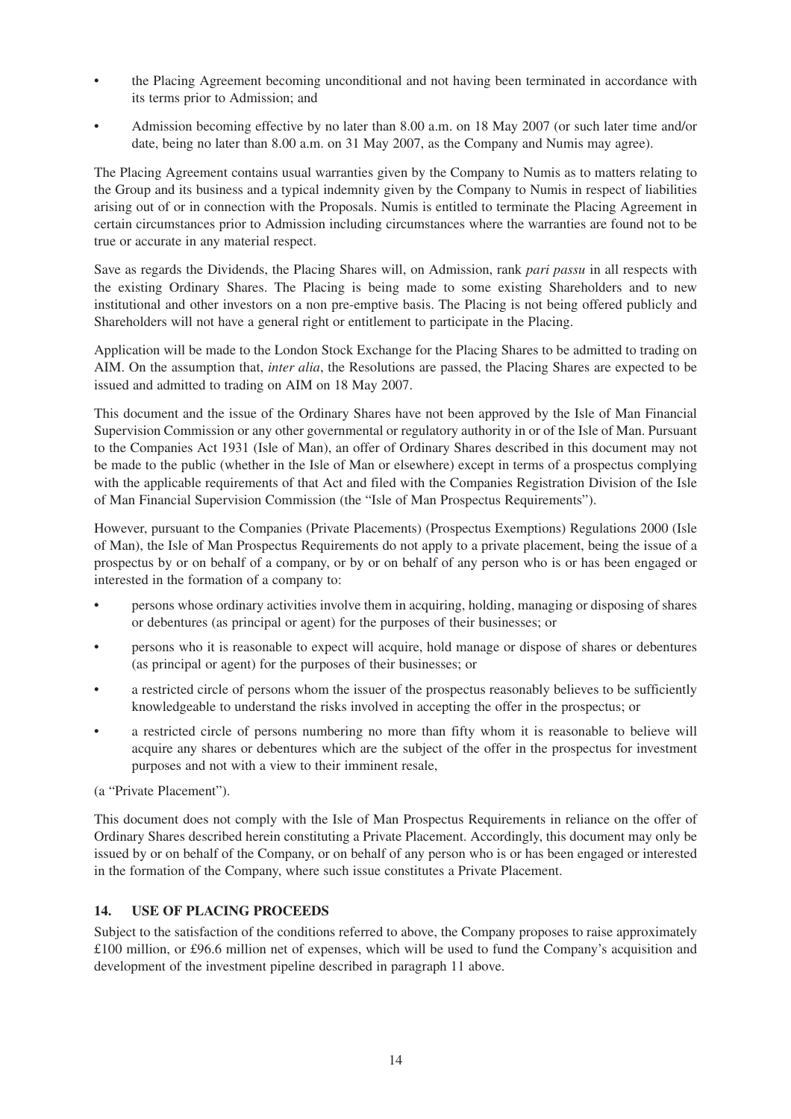- the Placing Agreement becoming unconditional and not having been terminated in accordance with its terms prior to Admission; and
- Admission becoming effective by no later than 8.00 a.m. on 18 May 2007 (or such later time and/or date, being no later than 8.00 a.m. on 31 May 2007, as the Company and Numis may agree).

The Placing Agreement contains usual warranties given by the Company to Numis as to matters relating to the Group and its business and a typical indemnity given by the Company to Numis in respect of liabilities arising out of or in connection with the Proposals. Numis is entitled to terminate the Placing Agreement in certain circumstances prior to Admission including circumstances where the warranties are found not to be true or accurate in any material respect.

Save as regards the Dividends, the Placing Shares will, on Admission, rank *pari passu* in all respects with the existing Ordinary Shares. The Placing is being made to some existing Shareholders and to new institutional and other investors on a non pre-emptive basis. The Placing is not being offered publicly and Shareholders will not have a general right or entitlement to participate in the Placing.

Application will be made to the London Stock Exchange for the Placing Shares to be admitted to trading on AIM. On the assumption that, *inter alia*, the Resolutions are passed, the Placing Shares are expected to be issued and admitted to trading on AIM on 18 May 2007.

This document and the issue of the Ordinary Shares have not been approved by the Isle of Man Financial Supervision Commission or any other governmental or regulatory authority in or of the Isle of Man. Pursuant to the Companies Act 1931 (Isle of Man), an offer of Ordinary Shares described in this document may not be made to the public (whether in the Isle of Man or elsewhere) except in terms of a prospectus complying with the applicable requirements of that Act and filed with the Companies Registration Division of the Isle of Man Financial Supervision Commission (the "Isle of Man Prospectus Requirements").

However, pursuant to the Companies (Private Placements) (Prospectus Exemptions) Regulations 2000 (Isle of Man), the Isle of Man Prospectus Requirements do not apply to a private placement, being the issue of a prospectus by or on behalf of a company, or by or on behalf of any person who is or has been engaged or interested in the formation of a company to:

- persons whose ordinary activities involve them in acquiring, holding, managing or disposing of shares or debentures (as principal or agent) for the purposes of their businesses; or
- persons who it is reasonable to expect will acquire, hold manage or dispose of shares or debentures (as principal or agent) for the purposes of their businesses; or
- a restricted circle of persons whom the issuer of the prospectus reasonably believes to be sufficiently knowledgeable to understand the risks involved in accepting the offer in the prospectus; or
- a restricted circle of persons numbering no more than fifty whom it is reasonable to believe will acquire any shares or debentures which are the subject of the offer in the prospectus for investment purposes and not with a view to their imminent resale,

(a "Private Placement").

This document does not comply with the Isle of Man Prospectus Requirements in reliance on the offer of Ordinary Shares described herein constituting a Private Placement. Accordingly, this document may only be issued by or on behalf of the Company, or on behalf of any person who is or has been engaged or interested in the formation of the Company, where such issue constitutes a Private Placement.

#### **14. USE OF PLACING PROCEEDS**

Subject to the satisfaction of the conditions referred to above, the Company proposes to raise approximately £100 million, or £96.6 million net of expenses, which will be used to fund the Company's acquisition and development of the investment pipeline described in paragraph 11 above.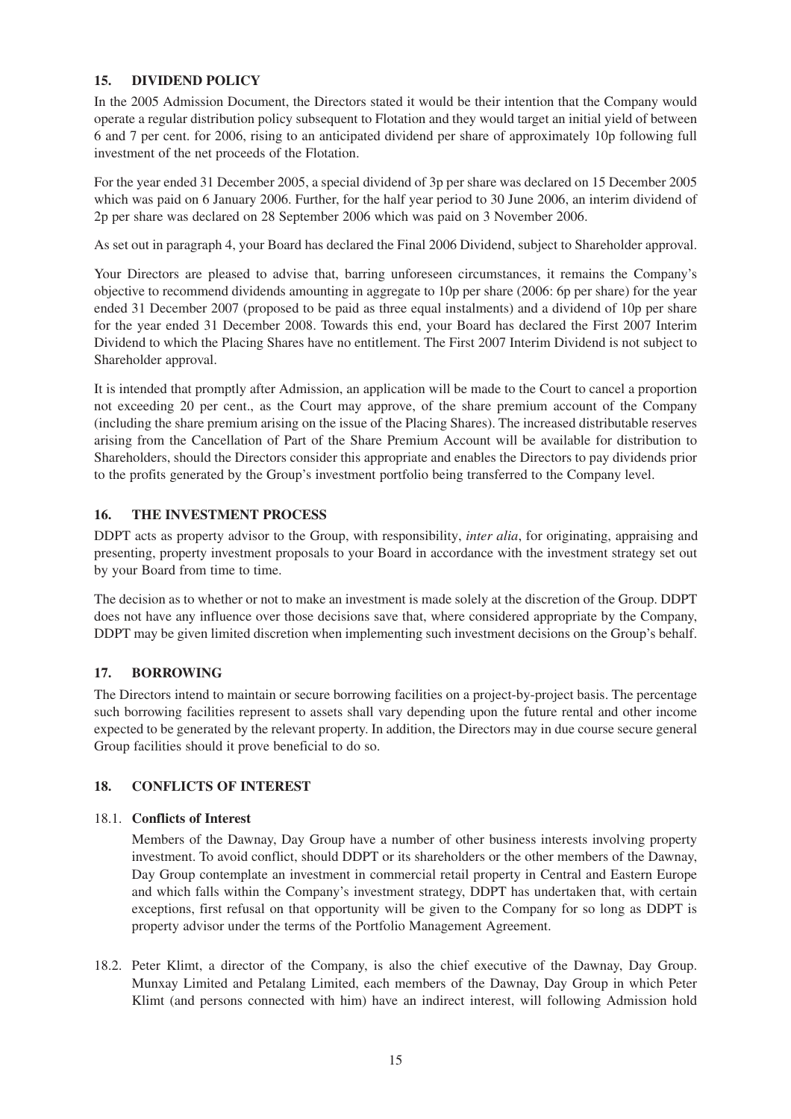## **15. DIVIDEND POLICY**

In the 2005 Admission Document, the Directors stated it would be their intention that the Company would operate a regular distribution policy subsequent to Flotation and they would target an initial yield of between 6 and 7 per cent. for 2006, rising to an anticipated dividend per share of approximately 10p following full investment of the net proceeds of the Flotation.

For the year ended 31 December 2005, a special dividend of 3p per share was declared on 15 December 2005 which was paid on 6 January 2006. Further, for the half year period to 30 June 2006, an interim dividend of 2p per share was declared on 28 September 2006 which was paid on 3 November 2006.

As set out in paragraph 4, your Board has declared the Final 2006 Dividend, subject to Shareholder approval.

Your Directors are pleased to advise that, barring unforeseen circumstances, it remains the Company's objective to recommend dividends amounting in aggregate to 10p per share (2006: 6p per share) for the year ended 31 December 2007 (proposed to be paid as three equal instalments) and a dividend of 10p per share for the year ended 31 December 2008. Towards this end, your Board has declared the First 2007 Interim Dividend to which the Placing Shares have no entitlement. The First 2007 Interim Dividend is not subject to Shareholder approval.

It is intended that promptly after Admission, an application will be made to the Court to cancel a proportion not exceeding 20 per cent., as the Court may approve, of the share premium account of the Company (including the share premium arising on the issue of the Placing Shares). The increased distributable reserves arising from the Cancellation of Part of the Share Premium Account will be available for distribution to Shareholders, should the Directors consider this appropriate and enables the Directors to pay dividends prior to the profits generated by the Group's investment portfolio being transferred to the Company level.

## **16. THE INVESTMENT PROCESS**

DDPT acts as property advisor to the Group, with responsibility, *inter alia*, for originating, appraising and presenting, property investment proposals to your Board in accordance with the investment strategy set out by your Board from time to time.

The decision as to whether or not to make an investment is made solely at the discretion of the Group. DDPT does not have any influence over those decisions save that, where considered appropriate by the Company, DDPT may be given limited discretion when implementing such investment decisions on the Group's behalf.

## **17. BORROWING**

The Directors intend to maintain or secure borrowing facilities on a project-by-project basis. The percentage such borrowing facilities represent to assets shall vary depending upon the future rental and other income expected to be generated by the relevant property. In addition, the Directors may in due course secure general Group facilities should it prove beneficial to do so.

#### **18. CONFLICTS OF INTEREST**

#### 18.1. **Conflicts of Interest**

Members of the Dawnay, Day Group have a number of other business interests involving property investment. To avoid conflict, should DDPT or its shareholders or the other members of the Dawnay, Day Group contemplate an investment in commercial retail property in Central and Eastern Europe and which falls within the Company's investment strategy, DDPT has undertaken that, with certain exceptions, first refusal on that opportunity will be given to the Company for so long as DDPT is property advisor under the terms of the Portfolio Management Agreement.

18.2. Peter Klimt, a director of the Company, is also the chief executive of the Dawnay, Day Group. Munxay Limited and Petalang Limited, each members of the Dawnay, Day Group in which Peter Klimt (and persons connected with him) have an indirect interest, will following Admission hold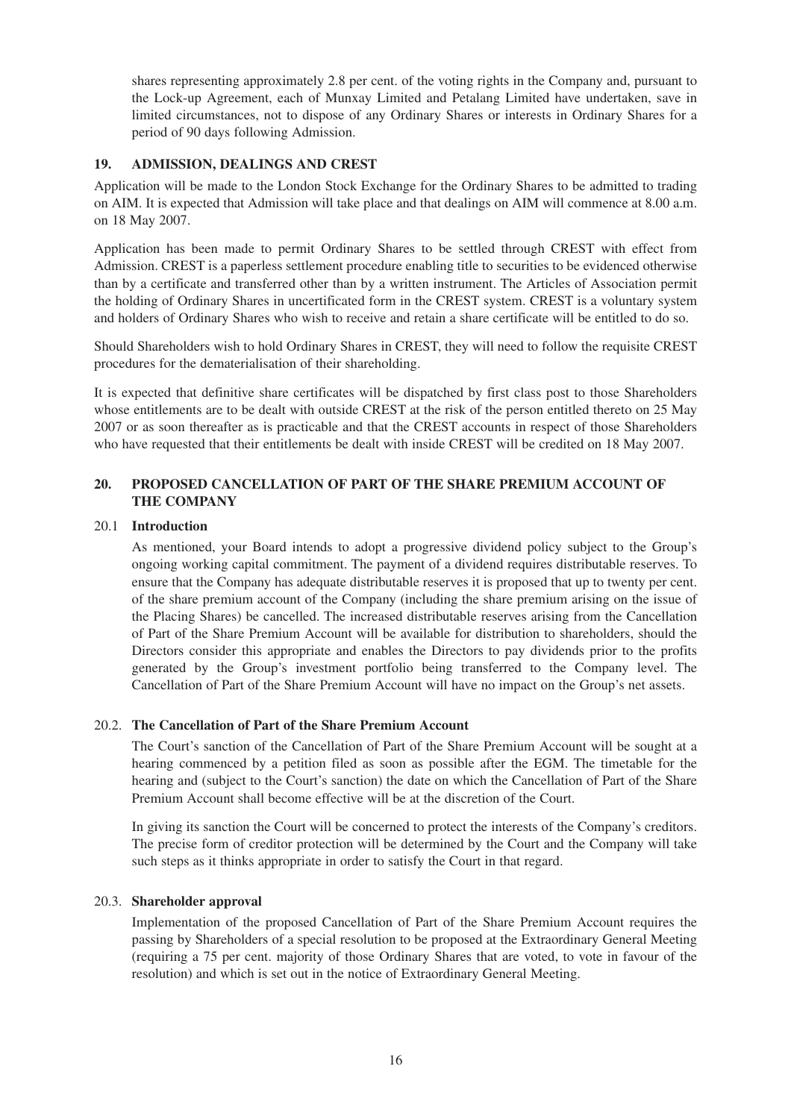shares representing approximately 2.8 per cent. of the voting rights in the Company and, pursuant to the Lock-up Agreement, each of Munxay Limited and Petalang Limited have undertaken, save in limited circumstances, not to dispose of any Ordinary Shares or interests in Ordinary Shares for a period of 90 days following Admission.

## **19. ADMISSION, DEALINGS AND CREST**

Application will be made to the London Stock Exchange for the Ordinary Shares to be admitted to trading on AIM. It is expected that Admission will take place and that dealings on AIM will commence at 8.00 a.m. on 18 May 2007.

Application has been made to permit Ordinary Shares to be settled through CREST with effect from Admission. CREST is a paperless settlement procedure enabling title to securities to be evidenced otherwise than by a certificate and transferred other than by a written instrument. The Articles of Association permit the holding of Ordinary Shares in uncertificated form in the CREST system. CREST is a voluntary system and holders of Ordinary Shares who wish to receive and retain a share certificate will be entitled to do so.

Should Shareholders wish to hold Ordinary Shares in CREST, they will need to follow the requisite CREST procedures for the dematerialisation of their shareholding.

It is expected that definitive share certificates will be dispatched by first class post to those Shareholders whose entitlements are to be dealt with outside CREST at the risk of the person entitled thereto on 25 May 2007 or as soon thereafter as is practicable and that the CREST accounts in respect of those Shareholders who have requested that their entitlements be dealt with inside CREST will be credited on 18 May 2007.

## **20. PROPOSED CANCELLATION OF PART OF THE SHARE PREMIUM ACCOUNT OF THE COMPANY**

#### 20.1 **Introduction**

As mentioned, your Board intends to adopt a progressive dividend policy subject to the Group's ongoing working capital commitment. The payment of a dividend requires distributable reserves. To ensure that the Company has adequate distributable reserves it is proposed that up to twenty per cent. of the share premium account of the Company (including the share premium arising on the issue of the Placing Shares) be cancelled. The increased distributable reserves arising from the Cancellation of Part of the Share Premium Account will be available for distribution to shareholders, should the Directors consider this appropriate and enables the Directors to pay dividends prior to the profits generated by the Group's investment portfolio being transferred to the Company level. The Cancellation of Part of the Share Premium Account will have no impact on the Group's net assets.

#### 20.2. **The Cancellation of Part of the Share Premium Account**

The Court's sanction of the Cancellation of Part of the Share Premium Account will be sought at a hearing commenced by a petition filed as soon as possible after the EGM. The timetable for the hearing and (subject to the Court's sanction) the date on which the Cancellation of Part of the Share Premium Account shall become effective will be at the discretion of the Court.

In giving its sanction the Court will be concerned to protect the interests of the Company's creditors. The precise form of creditor protection will be determined by the Court and the Company will take such steps as it thinks appropriate in order to satisfy the Court in that regard.

#### 20.3. **Shareholder approval**

Implementation of the proposed Cancellation of Part of the Share Premium Account requires the passing by Shareholders of a special resolution to be proposed at the Extraordinary General Meeting (requiring a 75 per cent. majority of those Ordinary Shares that are voted, to vote in favour of the resolution) and which is set out in the notice of Extraordinary General Meeting.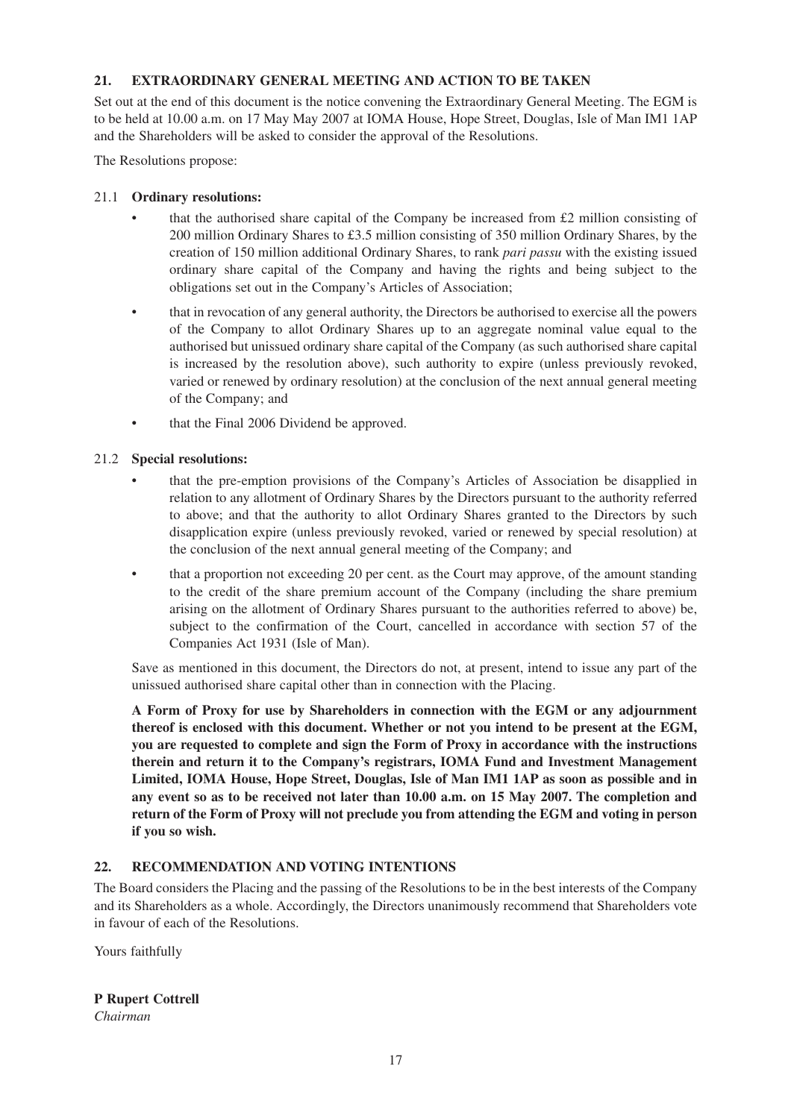## **21. EXTRAORDINARY GENERAL MEETING AND ACTION TO BE TAKEN**

Set out at the end of this document is the notice convening the Extraordinary General Meeting. The EGM is to be held at 10.00 a.m. on 17 May May 2007 at IOMA House, Hope Street, Douglas, Isle of Man IM1 1AP and the Shareholders will be asked to consider the approval of the Resolutions.

The Resolutions propose:

## 21.1 **Ordinary resolutions:**

- that the authorised share capital of the Company be increased from  $\pounds 2$  million consisting of 200 million Ordinary Shares to £3.5 million consisting of 350 million Ordinary Shares, by the creation of 150 million additional Ordinary Shares, to rank *pari passu* with the existing issued ordinary share capital of the Company and having the rights and being subject to the obligations set out in the Company's Articles of Association;
- that in revocation of any general authority, the Directors be authorised to exercise all the powers of the Company to allot Ordinary Shares up to an aggregate nominal value equal to the authorised but unissued ordinary share capital of the Company (as such authorised share capital is increased by the resolution above), such authority to expire (unless previously revoked, varied or renewed by ordinary resolution) at the conclusion of the next annual general meeting of the Company; and
- that the Final 2006 Dividend be approved.

## 21.2 **Special resolutions:**

- that the pre-emption provisions of the Company's Articles of Association be disapplied in relation to any allotment of Ordinary Shares by the Directors pursuant to the authority referred to above; and that the authority to allot Ordinary Shares granted to the Directors by such disapplication expire (unless previously revoked, varied or renewed by special resolution) at the conclusion of the next annual general meeting of the Company; and
- that a proportion not exceeding 20 per cent. as the Court may approve, of the amount standing to the credit of the share premium account of the Company (including the share premium arising on the allotment of Ordinary Shares pursuant to the authorities referred to above) be, subject to the confirmation of the Court, cancelled in accordance with section 57 of the Companies Act 1931 (Isle of Man).

Save as mentioned in this document, the Directors do not, at present, intend to issue any part of the unissued authorised share capital other than in connection with the Placing.

**A Form of Proxy for use by Shareholders in connection with the EGM or any adjournment thereof is enclosed with this document. Whether or not you intend to be present at the EGM, you are requested to complete and sign the Form of Proxy in accordance with the instructions therein and return it to the Company's registrars, IOMA Fund and Investment Management Limited, IOMA House, Hope Street, Douglas, Isle of Man IM1 1AP as soon as possible and in any event so as to be received not later than 10.00 a.m. on 15 May 2007. The completion and return of the Form of Proxy will not preclude you from attending the EGM and voting in person if you so wish.**

## **22. RECOMMENDATION AND VOTING INTENTIONS**

The Board considers the Placing and the passing of the Resolutions to be in the best interests of the Company and its Shareholders as a whole. Accordingly, the Directors unanimously recommend that Shareholders vote in favour of each of the Resolutions.

Yours faithfully

## **P Rupert Cottrell**

*Chairman*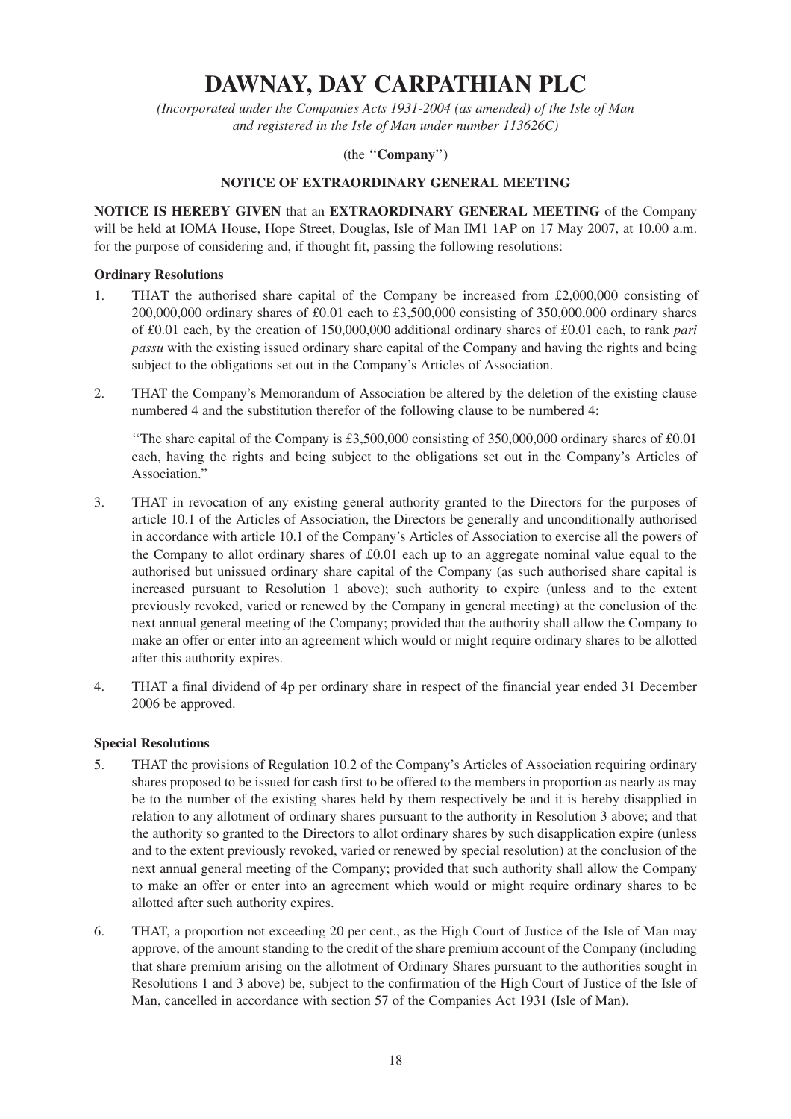# **DAWNAY, DAY CARPATHIAN PLC**

*(Incorporated under the Companies Acts 1931-2004 (as amended) of the Isle of Man and registered in the Isle of Man under number 113626C)*

## (the ''**Company**'')

### **NOTICE OF EXTRAORDINARY GENERAL MEETING**

**NOTICE IS HEREBY GIVEN** that an **EXTRAORDINARY GENERAL MEETING** of the Company will be held at IOMA House, Hope Street, Douglas, Isle of Man IM1 1AP on 17 May 2007, at 10.00 a.m. for the purpose of considering and, if thought fit, passing the following resolutions:

#### **Ordinary Resolutions**

- 1. THAT the authorised share capital of the Company be increased from  $\text{\pounds}2,000,000$  consisting of 200,000,000 ordinary shares of £0.01 each to £3,500,000 consisting of 350,000,000 ordinary shares of £0.01 each, by the creation of 150,000,000 additional ordinary shares of £0.01 each, to rank *pari passu* with the existing issued ordinary share capital of the Company and having the rights and being subject to the obligations set out in the Company's Articles of Association.
- 2. THAT the Company's Memorandum of Association be altered by the deletion of the existing clause numbered 4 and the substitution therefor of the following clause to be numbered 4:

''The share capital of the Company is £3,500,000 consisting of 350,000,000 ordinary shares of £0.01 each, having the rights and being subject to the obligations set out in the Company's Articles of Association."

- 3. THAT in revocation of any existing general authority granted to the Directors for the purposes of article 10.1 of the Articles of Association, the Directors be generally and unconditionally authorised in accordance with article 10.1 of the Company's Articles of Association to exercise all the powers of the Company to allot ordinary shares of £0.01 each up to an aggregate nominal value equal to the authorised but unissued ordinary share capital of the Company (as such authorised share capital is increased pursuant to Resolution 1 above); such authority to expire (unless and to the extent previously revoked, varied or renewed by the Company in general meeting) at the conclusion of the next annual general meeting of the Company; provided that the authority shall allow the Company to make an offer or enter into an agreement which would or might require ordinary shares to be allotted after this authority expires.
- 4. THAT a final dividend of 4p per ordinary share in respect of the financial year ended 31 December 2006 be approved.

#### **Special Resolutions**

- 5. THAT the provisions of Regulation 10.2 of the Company's Articles of Association requiring ordinary shares proposed to be issued for cash first to be offered to the members in proportion as nearly as may be to the number of the existing shares held by them respectively be and it is hereby disapplied in relation to any allotment of ordinary shares pursuant to the authority in Resolution 3 above; and that the authority so granted to the Directors to allot ordinary shares by such disapplication expire (unless and to the extent previously revoked, varied or renewed by special resolution) at the conclusion of the next annual general meeting of the Company; provided that such authority shall allow the Company to make an offer or enter into an agreement which would or might require ordinary shares to be allotted after such authority expires.
- 6. THAT, a proportion not exceeding 20 per cent., as the High Court of Justice of the Isle of Man may approve, of the amount standing to the credit of the share premium account of the Company (including that share premium arising on the allotment of Ordinary Shares pursuant to the authorities sought in Resolutions 1 and 3 above) be, subject to the confirmation of the High Court of Justice of the Isle of Man, cancelled in accordance with section 57 of the Companies Act 1931 (Isle of Man).